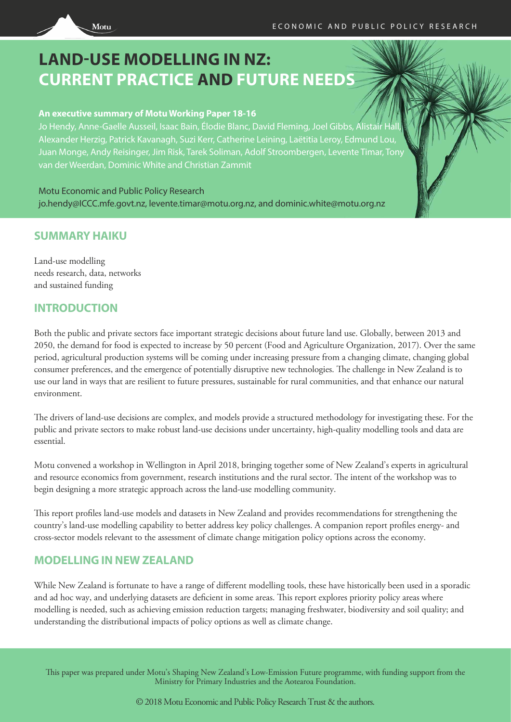

# **LAND-USE MODELLING IN NZ: CURRENT PRACTICE AND FUTURE NEEDS**

#### **An executive summary of Motu Working Paper 18-16**

Jo Hendy, Anne-Gaelle Ausseil, Isaac Bain, Élodie Blanc, David Fleming, Joel Gibbs, Alistair H Alexander Herzig, Patrick Kavanagh, Suzi Kerr, Catherine Leining, Laëtitia Leroy, Edmund Lou, Juan Monge, Andy Reisinger, Jim Risk, Tarek Soliman, Adolf Stroombergen, Levente Timar, Tony van der Weerdan, Dominic White and Christian Zammit

Motu Economic and Public Policy Research jo.hendy@ICCC.mfe.govt.nz, levente.timar@motu.org.nz, and dominic.white@motu.org.nz

### **SUMMARY HAIKU**

Land-use modelling needs research, data, networks and sustained funding

### **INTRODUCTION**

Both the public and private sectors face important strategic decisions about future land use. Globally, between 2013 and 2050, the demand for food is expected to increase by 50 percent (Food and Agriculture Organization, 2017). Over the same period, agricultural production systems will be coming under increasing pressure from a changing climate, changing global consumer preferences, and the emergence of potentially disruptive new technologies. The challenge in New Zealand is to use our land in ways that are resilient to future pressures, sustainable for rural communities, and that enhance our natural environment.

The drivers of land-use decisions are complex, and models provide a structured methodology for investigating these. For the public and private sectors to make robust land-use decisions under uncertainty, high-quality modelling tools and data are essential.

Motu convened a workshop in Wellington in April 2018, bringing together some of New Zealand's experts in agricultural and resource economics from government, research institutions and the rural sector. The intent of the workshop was to begin designing a more strategic approach across the land-use modelling community.

This report profiles land-use models and datasets in New Zealand and provides recommendations for strengthening the country's land-use modelling capability to better address key policy challenges. A companion report profiles energy- and cross-sector models relevant to the assessment of climate change mitigation policy options across the economy.

### **MODELLING IN NEW ZEALAND**

While New Zealand is fortunate to have a range of different modelling tools, these have historically been used in a sporadic and ad hoc way, and underlying datasets are deficient in some areas. This report explores priority policy areas where modelling is needed, such as achieving emission reduction targets; managing freshwater, biodiversity and soil quality; and understanding the distributional impacts of policy options as well as climate change.

This paper was prepared under Motu's Shaping New Zealand's Low-Emission Future programme, with funding support from the Ministry for Primary Industries and the Aotearoa Foundation.

© 2018 Motu Economic and Public Policy Research Trust & the authors.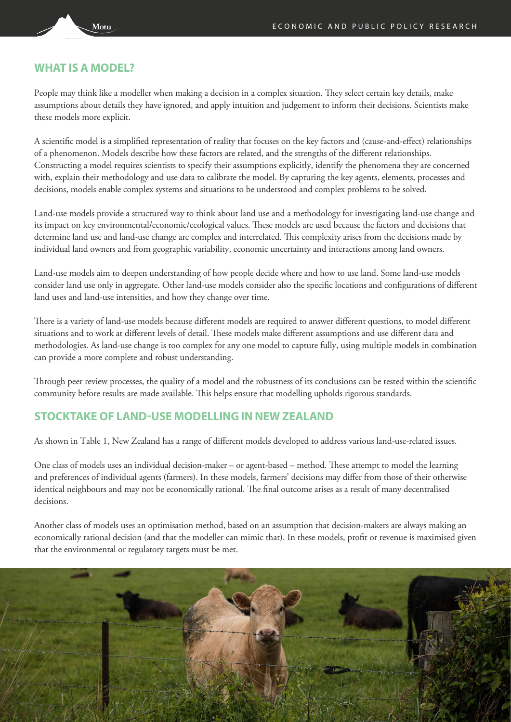#### **WHAT IS A MODEL?**

Motu

People may think like a modeller when making a decision in a complex situation. They select certain key details, make assumptions about details they have ignored, and apply intuition and judgement to inform their decisions. Scientists make these models more explicit.

A scientific model is a simplified representation of reality that focuses on the key factors and (cause-and-effect) relationships of a phenomenon. Models describe how these factors are related, and the strengths of the different relationships. Constructing a model requires scientists to specify their assumptions explicitly, identify the phenomena they are concerned with, explain their methodology and use data to calibrate the model. By capturing the key agents, elements, processes and decisions, models enable complex systems and situations to be understood and complex problems to be solved.

Land-use models provide a structured way to think about land use and a methodology for investigating land-use change and its impact on key environmental/economic/ecological values. These models are used because the factors and decisions that determine land use and land-use change are complex and interrelated. This complexity arises from the decisions made by individual land owners and from geographic variability, economic uncertainty and interactions among land owners.

Land-use models aim to deepen understanding of how people decide where and how to use land. Some land-use models consider land use only in aggregate. Other land-use models consider also the specific locations and configurations of different land uses and land-use intensities, and how they change over time.

There is a variety of land-use models because different models are required to answer different questions, to model different situations and to work at different levels of detail. These models make different assumptions and use different data and methodologies. As land-use change is too complex for any one model to capture fully, using multiple models in combination can provide a more complete and robust understanding.

Through peer review processes, the quality of a model and the robustness of its conclusions can be tested within the scientific community before results are made available. This helps ensure that modelling upholds rigorous standards.

#### **STOCKTAKE OF LAND-USE MODELLING IN NEW ZEALAND**

As shown in Table 1, New Zealand has a range of different models developed to address various land-use-related issues.

One class of models uses an individual decision-maker – or agent-based – method. These attempt to model the learning and preferences of individual agents (farmers). In these models, farmers' decisions may differ from those of their otherwise identical neighbours and may not be economically rational. The final outcome arises as a result of many decentralised decisions.

Another class of models uses an optimisation method, based on an assumption that decision-makers are always making an economically rational decision (and that the modeller can mimic that). In these models, profit or revenue is maximised given that the environmental or regulatory targets must be met.

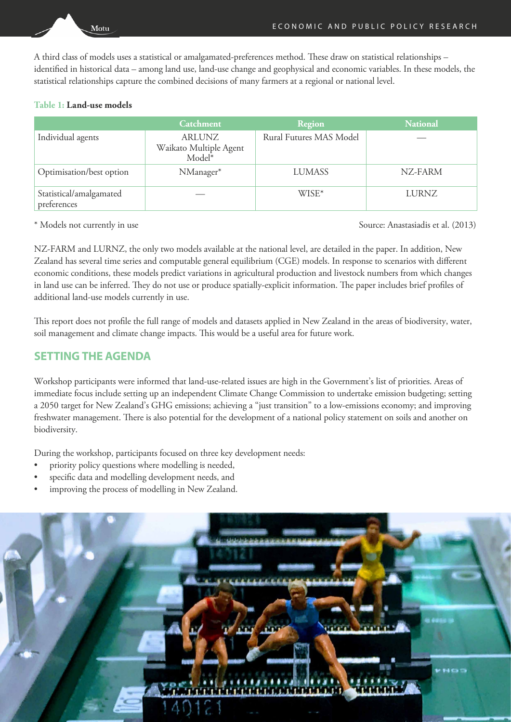A third class of models uses a statistical or amalgamated-preferences method. These draw on statistical relationships – identified in historical data – among land use, land-use change and geophysical and economic variables. In these models, the statistical relationships capture the combined decisions of many farmers at a regional or national level.

#### **Table 1: Land-use models**

Motu

|                                        | <b>Catchment</b>                           | Region                  | <b>National</b> |
|----------------------------------------|--------------------------------------------|-------------------------|-----------------|
| Individual agents                      | ARLUNZ<br>Waikato Multiple Agent<br>Model* | Rural Futures MAS Model |                 |
| Optimisation/best option               | NManager*                                  | LUMASS                  | NZ-FARM         |
| Statistical/amalgamated<br>preferences |                                            | WISE*                   | LURNZ           |

\* Models not currently in use Source: Anastasiadis et al. (2013)

NZ-FARM and LURNZ, the only two models available at the national level, are detailed in the paper. In addition, New Zealand has several time series and computable general equilibrium (CGE) models. In response to scenarios with different economic conditions, these models predict variations in agricultural production and livestock numbers from which changes in land use can be inferred. They do not use or produce spatially-explicit information. The paper includes brief profiles of additional land-use models currently in use.

This report does not profile the full range of models and datasets applied in New Zealand in the areas of biodiversity, water, soil management and climate change impacts. This would be a useful area for future work.

### **SETTING THE AGENDA**

Workshop participants were informed that land-use-related issues are high in the Government's list of priorities. Areas of immediate focus include setting up an independent Climate Change Commission to undertake emission budgeting; setting a 2050 target for New Zealand's GHG emissions; achieving a "just transition" to a low-emissions economy; and improving freshwater management. There is also potential for the development of a national policy statement on soils and another on biodiversity.

During the workshop, participants focused on three key development needs:

- priority policy questions where modelling is needed,
- specific data and modelling development needs, and
- improving the process of modelling in New Zealand.

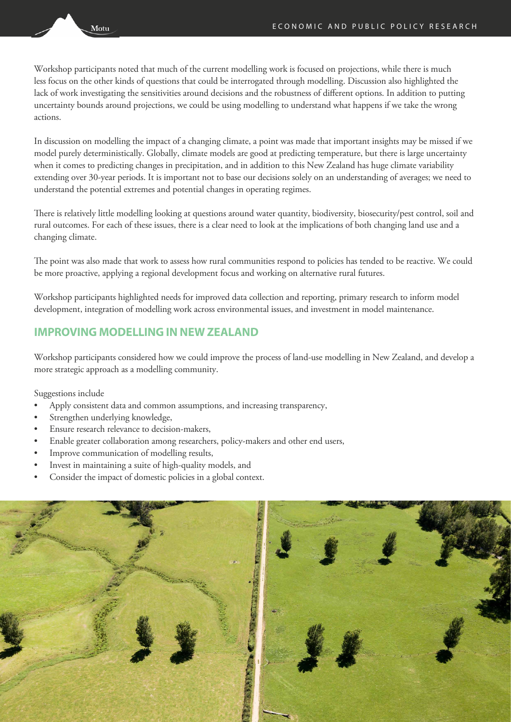Workshop participants noted that much of the current modelling work is focused on projections, while there is much less focus on the other kinds of questions that could be interrogated through modelling. Discussion also highlighted the lack of work investigating the sensitivities around decisions and the robustness of different options. In addition to putting uncertainty bounds around projections, we could be using modelling to understand what happens if we take the wrong actions.

In discussion on modelling the impact of a changing climate, a point was made that important insights may be missed if we model purely deterministically. Globally, climate models are good at predicting temperature, but there is large uncertainty when it comes to predicting changes in precipitation, and in addition to this New Zealand has huge climate variability extending over 30-year periods. It is important not to base our decisions solely on an understanding of averages; we need to understand the potential extremes and potential changes in operating regimes.

There is relatively little modelling looking at questions around water quantity, biodiversity, biosecurity/pest control, soil and rural outcomes. For each of these issues, there is a clear need to look at the implications of both changing land use and a changing climate.

The point was also made that work to assess how rural communities respond to policies has tended to be reactive. We could be more proactive, applying a regional development focus and working on alternative rural futures.

Workshop participants highlighted needs for improved data collection and reporting, primary research to inform model development, integration of modelling work across environmental issues, and investment in model maintenance.

#### **IMPROVING MODELLING IN NEW ZEALAND**

Workshop participants considered how we could improve the process of land-use modelling in New Zealand, and develop a more strategic approach as a modelling community.

Suggestions include

- Apply consistent data and common assumptions, and increasing transparency,
- Strengthen underlying knowledge,
- Ensure research relevance to decision-makers,
- Enable greater collaboration among researchers, policy-makers and other end users,
- Improve communication of modelling results,
- Invest in maintaining a suite of high-quality models, and
- Consider the impact of domestic policies in a global context.



Motu